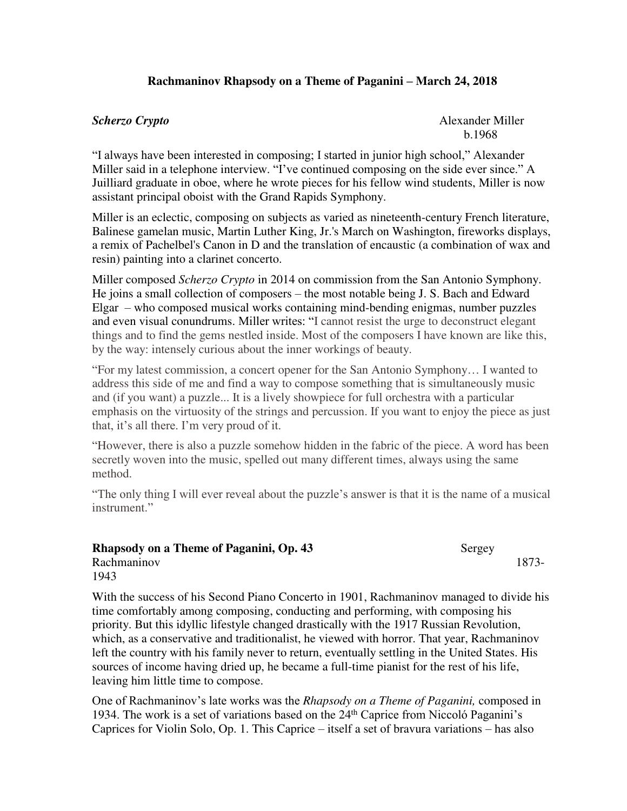## **Rachmaninov Rhapsody on a Theme of Paganini – March 24, 2018**

**Scherzo Crypto** Alexander Miller b.1968

"I always have been interested in composing; I started in junior high school," Alexander Miller said in a telephone interview. "I've continued composing on the side ever since." A Juilliard graduate in oboe, where he wrote pieces for his fellow wind students, Miller is now assistant principal oboist with the Grand Rapids Symphony.

Miller is an eclectic, composing on subjects as varied as nineteenth-century French literature, Balinese gamelan music, Martin Luther King, Jr.'s March on Washington, fireworks displays, a remix of Pachelbel's Canon in D and the translation of encaustic (a combination of wax and resin) painting into a clarinet concerto.

Miller composed *Scherzo Crypto* in 2014 on commission from the San Antonio Symphony. He joins a small collection of composers – the most notable being J. S. Bach and Edward Elgar – who composed musical works containing mind-bending enigmas, number puzzles and even visual conundrums. Miller writes: "I cannot resist the urge to deconstruct elegant things and to find the gems nestled inside. Most of the composers I have known are like this, by the way: intensely curious about the inner workings of beauty.

"For my latest commission, a concert opener for the San Antonio Symphony… I wanted to address this side of me and find a way to compose something that is simultaneously music and (if you want) a puzzle... It is a lively showpiece for full orchestra with a particular emphasis on the virtuosity of the strings and percussion. If you want to enjoy the piece as just that, it's all there. I'm very proud of it.

"However, there is also a puzzle somehow hidden in the fabric of the piece. A word has been secretly woven into the music, spelled out many different times, always using the same method.

"The only thing I will ever reveal about the puzzle's answer is that it is the name of a musical instrument."

| Rhapsody on a Theme of Paganini, Op. 43 | Sergey |       |
|-----------------------------------------|--------|-------|
| Rachmaninov                             |        | 1873- |
| 1943                                    |        |       |

With the success of his Second Piano Concerto in 1901, Rachmaninov managed to divide his time comfortably among composing, conducting and performing, with composing his priority. But this idyllic lifestyle changed drastically with the 1917 Russian Revolution, which, as a conservative and traditionalist, he viewed with horror. That year, Rachmaninov left the country with his family never to return, eventually settling in the United States. His sources of income having dried up, he became a full-time pianist for the rest of his life, leaving him little time to compose.

One of Rachmaninov's late works was the *Rhapsody on a Theme of Paganini,* composed in 1934. The work is a set of variations based on the 24th Caprice from Niccoló Paganini's Caprices for Violin Solo, Op. 1. This Caprice – itself a set of bravura variations – has also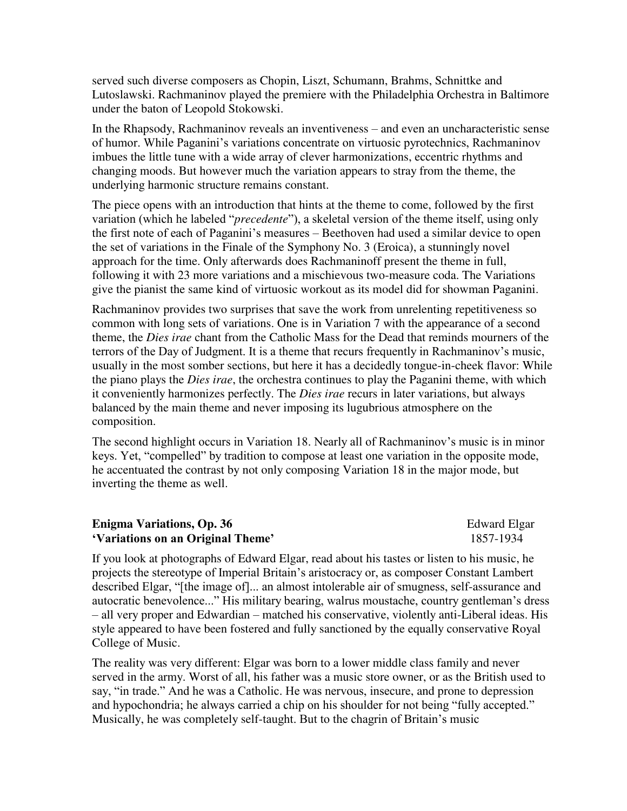served such diverse composers as Chopin, Liszt, Schumann, Brahms, Schnittke and Lutoslawski. Rachmaninov played the premiere with the Philadelphia Orchestra in Baltimore under the baton of Leopold Stokowski.

In the Rhapsody, Rachmaninov reveals an inventiveness – and even an uncharacteristic sense of humor. While Paganini's variations concentrate on virtuosic pyrotechnics, Rachmaninov imbues the little tune with a wide array of clever harmonizations, eccentric rhythms and changing moods. But however much the variation appears to stray from the theme, the underlying harmonic structure remains constant.

The piece opens with an introduction that hints at the theme to come, followed by the first variation (which he labeled "*precedente*"), a skeletal version of the theme itself, using only the first note of each of Paganini's measures – Beethoven had used a similar device to open the set of variations in the Finale of the Symphony No. 3 (Eroica), a stunningly novel approach for the time. Only afterwards does Rachmaninoff present the theme in full, following it with 23 more variations and a mischievous two-measure coda. The Variations give the pianist the same kind of virtuosic workout as its model did for showman Paganini.

Rachmaninov provides two surprises that save the work from unrelenting repetitiveness so common with long sets of variations. One is in Variation 7 with the appearance of a second theme, the *Dies irae* chant from the Catholic Mass for the Dead that reminds mourners of the terrors of the Day of Judgment. It is a theme that recurs frequently in Rachmaninov's music, usually in the most somber sections, but here it has a decidedly tongue-in-cheek flavor: While the piano plays the *Dies irae*, the orchestra continues to play the Paganini theme, with which it conveniently harmonizes perfectly. The *Dies irae* recurs in later variations, but always balanced by the main theme and never imposing its lugubrious atmosphere on the composition.

The second highlight occurs in Variation 18. Nearly all of Rachmaninov's music is in minor keys. Yet, "compelled" by tradition to compose at least one variation in the opposite mode, he accentuated the contrast by not only composing Variation 18 in the major mode, but inverting the theme as well.

## **Enigma Variations, Op. 36** Edward Elgar **'Variations on an Original Theme'** 1857-1934

If you look at photographs of Edward Elgar, read about his tastes or listen to his music, he projects the stereotype of Imperial Britain's aristocracy or, as composer Constant Lambert described Elgar, "[the image of]... an almost intolerable air of smugness, self-assurance and autocratic benevolence..." His military bearing, walrus moustache, country gentleman's dress – all very proper and Edwardian – matched his conservative, violently anti-Liberal ideas. His style appeared to have been fostered and fully sanctioned by the equally conservative Royal College of Music.

The reality was very different: Elgar was born to a lower middle class family and never served in the army. Worst of all, his father was a music store owner, or as the British used to say, "in trade." And he was a Catholic. He was nervous, insecure, and prone to depression and hypochondria; he always carried a chip on his shoulder for not being "fully accepted." Musically, he was completely self-taught. But to the chagrin of Britain's music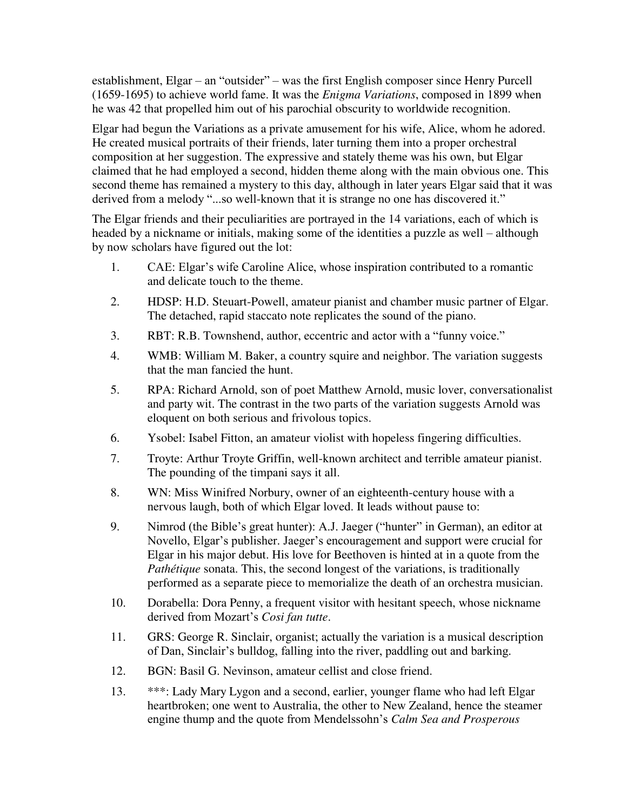establishment, Elgar – an "outsider" – was the first English composer since Henry Purcell (1659-1695) to achieve world fame. It was the *Enigma Variations*, composed in 1899 when he was 42 that propelled him out of his parochial obscurity to worldwide recognition.

Elgar had begun the Variations as a private amusement for his wife, Alice, whom he adored. He created musical portraits of their friends, later turning them into a proper orchestral composition at her suggestion. The expressive and stately theme was his own, but Elgar claimed that he had employed a second, hidden theme along with the main obvious one. This second theme has remained a mystery to this day, although in later years Elgar said that it was derived from a melody "...so well-known that it is strange no one has discovered it."

The Elgar friends and their peculiarities are portrayed in the 14 variations, each of which is headed by a nickname or initials, making some of the identities a puzzle as well – although by now scholars have figured out the lot:

- 1. CAE: Elgar's wife Caroline Alice, whose inspiration contributed to a romantic and delicate touch to the theme.
- 2. HDSP: H.D. Steuart-Powell, amateur pianist and chamber music partner of Elgar. The detached, rapid staccato note replicates the sound of the piano.
- 3. RBT: R.B. Townshend, author, eccentric and actor with a "funny voice."
- 4. WMB: William M. Baker, a country squire and neighbor. The variation suggests that the man fancied the hunt.
- 5. RPA: Richard Arnold, son of poet Matthew Arnold, music lover, conversationalist and party wit. The contrast in the two parts of the variation suggests Arnold was eloquent on both serious and frivolous topics.
- 6. Ysobel: Isabel Fitton, an amateur violist with hopeless fingering difficulties.
- 7. Troyte: Arthur Troyte Griffin, well-known architect and terrible amateur pianist. The pounding of the timpani says it all.
- 8. WN: Miss Winifred Norbury, owner of an eighteenth-century house with a nervous laugh, both of which Elgar loved. It leads without pause to:
- 9. Nimrod (the Bible's great hunter): A.J. Jaeger ("hunter" in German), an editor at Novello, Elgar's publisher. Jaeger's encouragement and support were crucial for Elgar in his major debut. His love for Beethoven is hinted at in a quote from the *Pathétique* sonata. This, the second longest of the variations, is traditionally performed as a separate piece to memorialize the death of an orchestra musician.
- 10. Dorabella: Dora Penny, a frequent visitor with hesitant speech, whose nickname derived from Mozart's *Cosi fan tutte*.
- 11. GRS: George R. Sinclair, organist; actually the variation is a musical description of Dan, Sinclair's bulldog, falling into the river, paddling out and barking.
- 12. BGN: Basil G. Nevinson, amateur cellist and close friend.
- 13. \*\*\*: Lady Mary Lygon and a second, earlier, younger flame who had left Elgar heartbroken; one went to Australia, the other to New Zealand, hence the steamer engine thump and the quote from Mendelssohn's *Calm Sea and Prosperous*